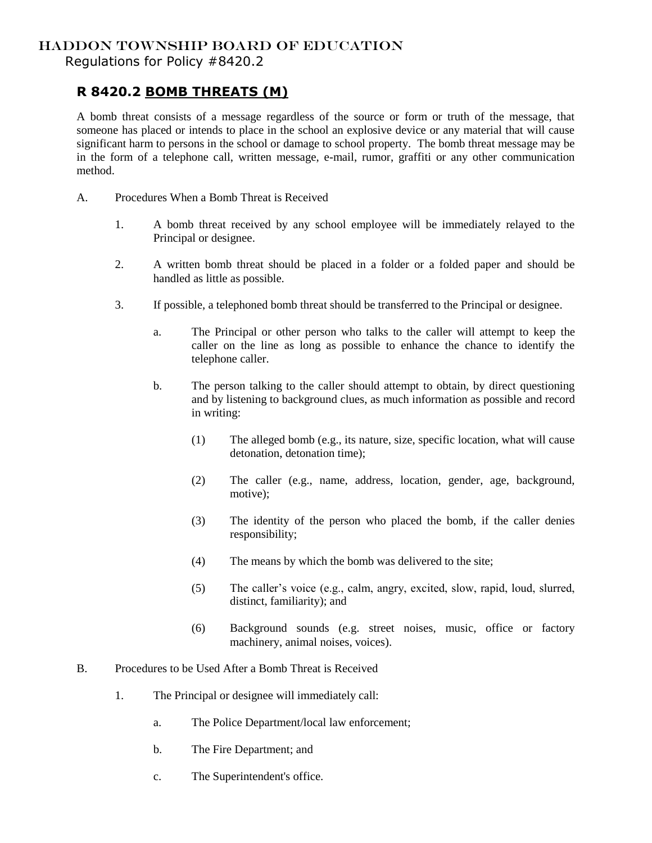## HADDON TOWNSHIP BOARD OF EDUCATION

Regulations for Policy #8420.2

## **R 8420.2 BOMB THREATS (M)**

A bomb threat consists of a message regardless of the source or form or truth of the message, that someone has placed or intends to place in the school an explosive device or any material that will cause significant harm to persons in the school or damage to school property. The bomb threat message may be in the form of a telephone call, written message, e-mail, rumor, graffiti or any other communication method.

- A. Procedures When a Bomb Threat is Received
	- 1. A bomb threat received by any school employee will be immediately relayed to the Principal or designee.
	- 2. A written bomb threat should be placed in a folder or a folded paper and should be handled as little as possible.
	- 3. If possible, a telephoned bomb threat should be transferred to the Principal or designee.
		- a. The Principal or other person who talks to the caller will attempt to keep the caller on the line as long as possible to enhance the chance to identify the telephone caller.
		- b. The person talking to the caller should attempt to obtain, by direct questioning and by listening to background clues, as much information as possible and record in writing:
			- (1) The alleged bomb (e.g., its nature, size, specific location, what will cause detonation, detonation time);
			- (2) The caller (e.g., name, address, location, gender, age, background, motive);
			- (3) The identity of the person who placed the bomb, if the caller denies responsibility;
			- (4) The means by which the bomb was delivered to the site;
			- (5) The caller's voice (e.g., calm, angry, excited, slow, rapid, loud, slurred, distinct, familiarity); and
			- (6) Background sounds (e.g. street noises, music, office or factory machinery, animal noises, voices).
- B. Procedures to be Used After a Bomb Threat is Received
	- 1. The Principal or designee will immediately call:
		- a. The Police Department/local law enforcement;
		- b. The Fire Department; and
		- c. The Superintendent's office.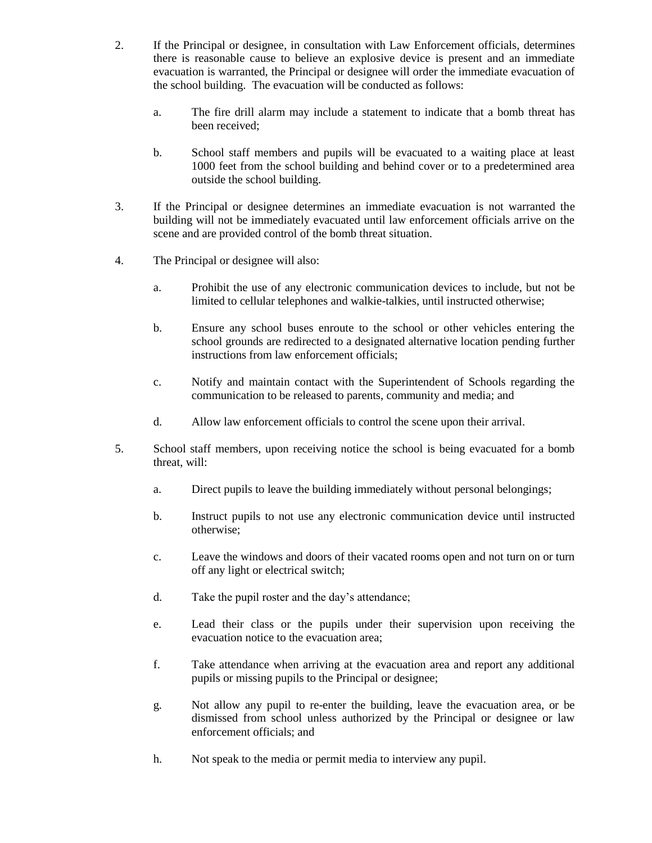- 2. If the Principal or designee, in consultation with Law Enforcement officials, determines there is reasonable cause to believe an explosive device is present and an immediate evacuation is warranted, the Principal or designee will order the immediate evacuation of the school building. The evacuation will be conducted as follows:
	- a. The fire drill alarm may include a statement to indicate that a bomb threat has been received;
	- b. School staff members and pupils will be evacuated to a waiting place at least 1000 feet from the school building and behind cover or to a predetermined area outside the school building.
- 3. If the Principal or designee determines an immediate evacuation is not warranted the building will not be immediately evacuated until law enforcement officials arrive on the scene and are provided control of the bomb threat situation.
- 4. The Principal or designee will also:
	- a. Prohibit the use of any electronic communication devices to include, but not be limited to cellular telephones and walkie-talkies, until instructed otherwise;
	- b. Ensure any school buses enroute to the school or other vehicles entering the school grounds are redirected to a designated alternative location pending further instructions from law enforcement officials;
	- c. Notify and maintain contact with the Superintendent of Schools regarding the communication to be released to parents, community and media; and
	- d. Allow law enforcement officials to control the scene upon their arrival.
- 5. School staff members, upon receiving notice the school is being evacuated for a bomb threat, will:
	- a. Direct pupils to leave the building immediately without personal belongings;
	- b. Instruct pupils to not use any electronic communication device until instructed otherwise;
	- c. Leave the windows and doors of their vacated rooms open and not turn on or turn off any light or electrical switch;
	- d. Take the pupil roster and the day's attendance;
	- e. Lead their class or the pupils under their supervision upon receiving the evacuation notice to the evacuation area;
	- f. Take attendance when arriving at the evacuation area and report any additional pupils or missing pupils to the Principal or designee;
	- g. Not allow any pupil to re-enter the building, leave the evacuation area, or be dismissed from school unless authorized by the Principal or designee or law enforcement officials; and
	- h. Not speak to the media or permit media to interview any pupil.